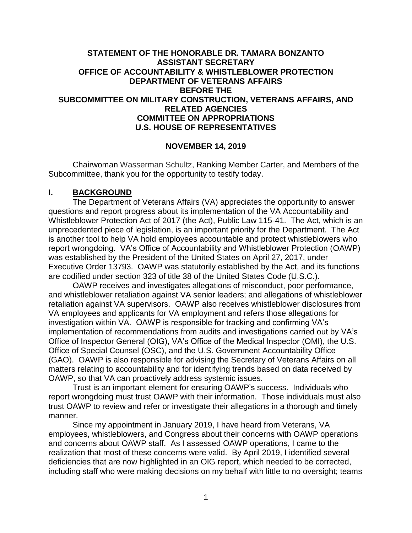### **STATEMENT OF THE HONORABLE DR. TAMARA BONZANTO ASSISTANT SECRETARY OFFICE OF ACCOUNTABILITY & WHISTLEBLOWER PROTECTION DEPARTMENT OF VETERANS AFFAIRS BEFORE THE SUBCOMMITTEE ON MILITARY CONSTRUCTION, VETERANS AFFAIRS, AND RELATED AGENCIES COMMITTEE ON APPROPRIATIONS U.S. HOUSE OF REPRESENTATIVES**

#### **NOVEMBER 14, 2019**

Chairwoman Wasserman Schultz, Ranking Member Carter, and Members of the Subcommittee, thank you for the opportunity to testify today.

#### **I. BACKGROUND**

The Department of Veterans Affairs (VA) appreciates the opportunity to answer questions and report progress about its implementation of the VA Accountability and Whistleblower Protection Act of 2017 (the Act), Public Law 115-41. The Act, which is an unprecedented piece of legislation, is an important priority for the Department. The Act is another tool to help VA hold employees accountable and protect whistleblowers who report wrongdoing. VA's Office of Accountability and Whistleblower Protection (OAWP) was established by the President of the United States on April 27, 2017, under Executive Order 13793. OAWP was statutorily established by the Act, and its functions are codified under section 323 of title 38 of the United States Code (U.S.C.).

OAWP receives and investigates allegations of misconduct, poor performance, and whistleblower retaliation against VA senior leaders; and allegations of whistleblower retaliation against VA supervisors. OAWP also receives whistleblower disclosures from VA employees and applicants for VA employment and refers those allegations for investigation within VA. OAWP is responsible for tracking and confirming VA's implementation of recommendations from audits and investigations carried out by VA's Office of Inspector General (OIG), VA's Office of the Medical Inspector (OMI), the U.S. Office of Special Counsel (OSC), and the U.S. Government Accountability Office (GAO). OAWP is also responsible for advising the Secretary of Veterans Affairs on all matters relating to accountability and for identifying trends based on data received by OAWP, so that VA can proactively address systemic issues.

Trust is an important element for ensuring OAWP's success. Individuals who report wrongdoing must trust OAWP with their information. Those individuals must also trust OAWP to review and refer or investigate their allegations in a thorough and timely manner.

Since my appointment in January 2019, I have heard from Veterans, VA employees, whistleblowers, and Congress about their concerns with OAWP operations and concerns about OAWP staff. As I assessed OAWP operations, I came to the realization that most of these concerns were valid. By April 2019, I identified several deficiencies that are now highlighted in an OIG report, which needed to be corrected, including staff who were making decisions on my behalf with little to no oversight; teams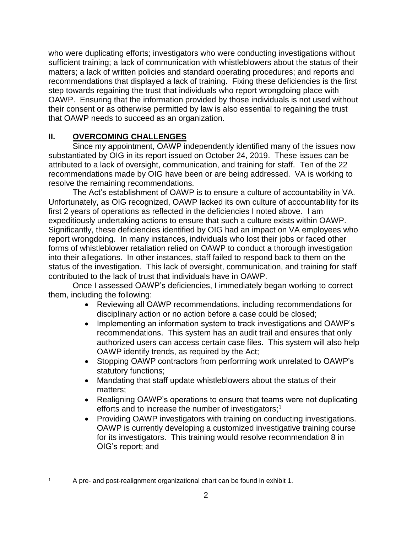who were duplicating efforts; investigators who were conducting investigations without sufficient training; a lack of communication with whistleblowers about the status of their matters; a lack of written policies and standard operating procedures; and reports and recommendations that displayed a lack of training. Fixing these deficiencies is the first step towards regaining the trust that individuals who report wrongdoing place with OAWP. Ensuring that the information provided by those individuals is not used without their consent or as otherwise permitted by law is also essential to regaining the trust that OAWP needs to succeed as an organization.

# **II. OVERCOMING CHALLENGES**

Since my appointment, OAWP independently identified many of the issues now substantiated by OIG in its report issued on October 24, 2019. These issues can be attributed to a lack of oversight, communication, and training for staff. Ten of the 22 recommendations made by OIG have been or are being addressed. VA is working to resolve the remaining recommendations.

The Act's establishment of OAWP is to ensure a culture of accountability in VA. Unfortunately, as OIG recognized, OAWP lacked its own culture of accountability for its first 2 years of operations as reflected in the deficiencies I noted above. I am expeditiously undertaking actions to ensure that such a culture exists within OAWP. Significantly, these deficiencies identified by OIG had an impact on VA employees who report wrongdoing. In many instances, individuals who lost their jobs or faced other forms of whistleblower retaliation relied on OAWP to conduct a thorough investigation into their allegations. In other instances, staff failed to respond back to them on the status of the investigation. This lack of oversight, communication, and training for staff contributed to the lack of trust that individuals have in OAWP.

Once I assessed OAWP's deficiencies, I immediately began working to correct them, including the following:

- Reviewing all OAWP recommendations, including recommendations for disciplinary action or no action before a case could be closed;
- Implementing an information system to track investigations and OAWP's recommendations. This system has an audit trail and ensures that only authorized users can access certain case files. This system will also help OAWP identify trends, as required by the Act;
- Stopping OAWP contractors from performing work unrelated to OAWP's statutory functions;
- Mandating that staff update whistleblowers about the status of their matters;
- Realigning OAWP's operations to ensure that teams were not duplicating efforts and to increase the number of investigators; 1
- Providing OAWP investigators with training on conducting investigations. OAWP is currently developing a customized investigative training course for its investigators. This training would resolve recommendation 8 in OIG's report; and

 $\overline{a}$ <sup>1</sup> A pre- and post-realignment organizational chart can be found in exhibit 1.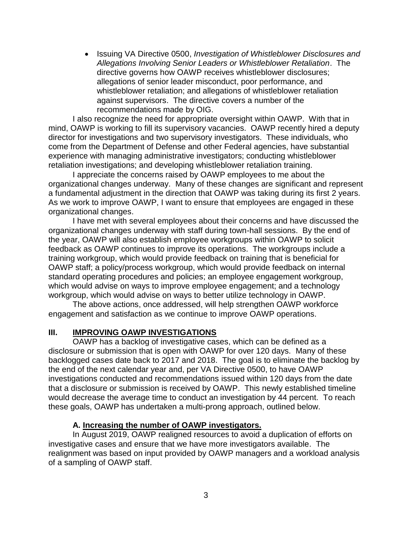• Issuing VA Directive 0500, *Investigation of Whistleblower Disclosures and Allegations Involving Senior Leaders or Whistleblower Retaliation*. The directive governs how OAWP receives whistleblower disclosures; allegations of senior leader misconduct, poor performance, and whistleblower retaliation; and allegations of whistleblower retaliation against supervisors. The directive covers a number of the recommendations made by OIG.

I also recognize the need for appropriate oversight within OAWP. With that in mind, OAWP is working to fill its supervisory vacancies. OAWP recently hired a deputy director for investigations and two supervisory investigators. These individuals, who come from the Department of Defense and other Federal agencies, have substantial experience with managing administrative investigators; conducting whistleblower retaliation investigations; and developing whistleblower retaliation training.

I appreciate the concerns raised by OAWP employees to me about the organizational changes underway. Many of these changes are significant and represent a fundamental adjustment in the direction that OAWP was taking during its first 2 years. As we work to improve OAWP, I want to ensure that employees are engaged in these organizational changes.

I have met with several employees about their concerns and have discussed the organizational changes underway with staff during town-hall sessions. By the end of the year, OAWP will also establish employee workgroups within OAWP to solicit feedback as OAWP continues to improve its operations. The workgroups include a training workgroup, which would provide feedback on training that is beneficial for OAWP staff; a policy/process workgroup, which would provide feedback on internal standard operating procedures and policies; an employee engagement workgroup, which would advise on ways to improve employee engagement; and a technology workgroup, which would advise on ways to better utilize technology in OAWP.

The above actions, once addressed, will help strengthen OAWP workforce engagement and satisfaction as we continue to improve OAWP operations.

#### **III. IMPROVING OAWP INVESTIGATIONS**

OAWP has a backlog of investigative cases, which can be defined as a disclosure or submission that is open with OAWP for over 120 days. Many of these backlogged cases date back to 2017 and 2018. The goal is to eliminate the backlog by the end of the next calendar year and, per VA Directive 0500, to have OAWP investigations conducted and recommendations issued within 120 days from the date that a disclosure or submission is received by OAWP. This newly established timeline would decrease the average time to conduct an investigation by 44 percent. To reach these goals, OAWP has undertaken a multi-prong approach, outlined below.

#### **A. Increasing the number of OAWP investigators.**

In August 2019, OAWP realigned resources to avoid a duplication of efforts on investigative cases and ensure that we have more investigators available. The realignment was based on input provided by OAWP managers and a workload analysis of a sampling of OAWP staff.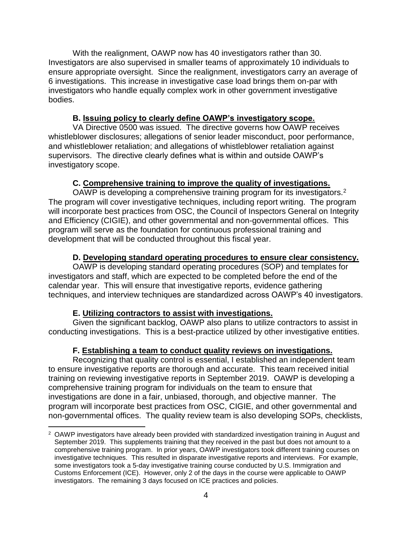With the realignment, OAWP now has 40 investigators rather than 30. Investigators are also supervised in smaller teams of approximately 10 individuals to ensure appropriate oversight. Since the realignment, investigators carry an average of 6 investigations. This increase in investigative case load brings them on-par with investigators who handle equally complex work in other government investigative bodies.

### **B. Issuing policy to clearly define OAWP's investigatory scope.**

VA Directive 0500 was issued. The directive governs how OAWP receives whistleblower disclosures; allegations of senior leader misconduct, poor performance, and whistleblower retaliation; and allegations of whistleblower retaliation against supervisors. The directive clearly defines what is within and outside OAWP's investigatory scope.

## **C. Comprehensive training to improve the quality of investigations.**

OAWP is developing a comprehensive training program for its investigators.<sup>2</sup> The program will cover investigative techniques, including report writing. The program will incorporate best practices from OSC, the Council of Inspectors General on Integrity and Efficiency (CIGIE), and other governmental and non-governmental offices. This program will serve as the foundation for continuous professional training and development that will be conducted throughout this fiscal year.

### **D. Developing standard operating procedures to ensure clear consistency.**

OAWP is developing standard operating procedures (SOP) and templates for investigators and staff, which are expected to be completed before the end of the calendar year. This will ensure that investigative reports, evidence gathering techniques, and interview techniques are standardized across OAWP's 40 investigators.

#### **E. Utilizing contractors to assist with investigations.**

 $\overline{a}$ 

Given the significant backlog, OAWP also plans to utilize contractors to assist in conducting investigations. This is a best-practice utilized by other investigative entities.

#### **F. Establishing a team to conduct quality reviews on investigations.**

Recognizing that quality control is essential, I established an independent team to ensure investigative reports are thorough and accurate. This team received initial training on reviewing investigative reports in September 2019. OAWP is developing a comprehensive training program for individuals on the team to ensure that investigations are done in a fair, unbiased, thorough, and objective manner. The program will incorporate best practices from OSC, CIGIE, and other governmental and non-governmental offices. The quality review team is also developing SOPs, checklists,

<sup>2</sup> OAWP investigators have already been provided with standardized investigation training in August and September 2019. This supplements training that they received in the past but does not amount to a comprehensive training program. In prior years, OAWP investigators took different training courses on investigative techniques. This resulted in disparate investigative reports and interviews. For example, some investigators took a 5-day investigative training course conducted by U.S. Immigration and Customs Enforcement (ICE). However, only 2 of the days in the course were applicable to OAWP investigators. The remaining 3 days focused on ICE practices and policies.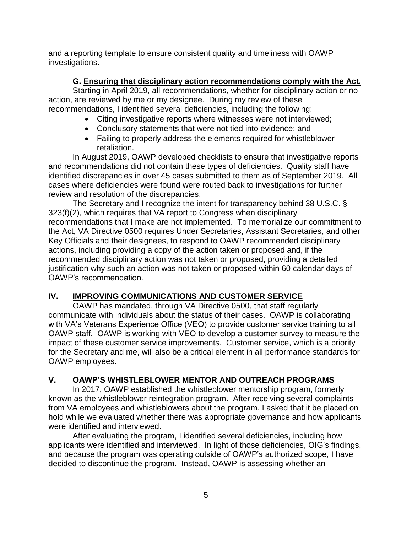and a reporting template to ensure consistent quality and timeliness with OAWP investigations.

## **G. Ensuring that disciplinary action recommendations comply with the Act.**

Starting in April 2019, all recommendations, whether for disciplinary action or no action, are reviewed by me or my designee. During my review of these recommendations, I identified several deficiencies, including the following:

- Citing investigative reports where witnesses were not interviewed;
- Conclusory statements that were not tied into evidence; and
- Failing to properly address the elements required for whistleblower retaliation.

In August 2019, OAWP developed checklists to ensure that investigative reports and recommendations did not contain these types of deficiencies. Quality staff have identified discrepancies in over 45 cases submitted to them as of September 2019. All cases where deficiencies were found were routed back to investigations for further review and resolution of the discrepancies.

The Secretary and I recognize the intent for transparency behind 38 U.S.C. § 323(f)(2), which requires that VA report to Congress when disciplinary recommendations that I make are not implemented. To memorialize our commitment to the Act, VA Directive 0500 requires Under Secretaries, Assistant Secretaries, and other Key Officials and their designees, to respond to OAWP recommended disciplinary actions, including providing a copy of the action taken or proposed and, if the recommended disciplinary action was not taken or proposed, providing a detailed justification why such an action was not taken or proposed within 60 calendar days of OAWP's recommendation.

# **IV. IMPROVING COMMUNICATIONS AND CUSTOMER SERVICE**

OAWP has mandated, through VA Directive 0500, that staff regularly communicate with individuals about the status of their cases. OAWP is collaborating with VA's Veterans Experience Office (VEO) to provide customer service training to all OAWP staff. OAWP is working with VEO to develop a customer survey to measure the impact of these customer service improvements. Customer service, which is a priority for the Secretary and me, will also be a critical element in all performance standards for OAWP employees.

# **V. OAWP'S WHISTLEBLOWER MENTOR AND OUTREACH PROGRAMS**

In 2017, OAWP established the whistleblower mentorship program, formerly known as the whistleblower reintegration program. After receiving several complaints from VA employees and whistleblowers about the program, I asked that it be placed on hold while we evaluated whether there was appropriate governance and how applicants were identified and interviewed.

After evaluating the program, I identified several deficiencies, including how applicants were identified and interviewed. In light of those deficiencies, OIG's findings, and because the program was operating outside of OAWP's authorized scope, I have decided to discontinue the program. Instead, OAWP is assessing whether an